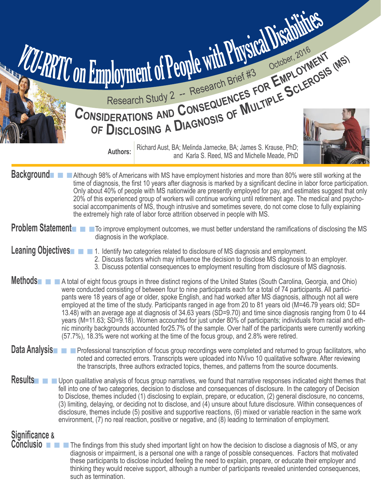